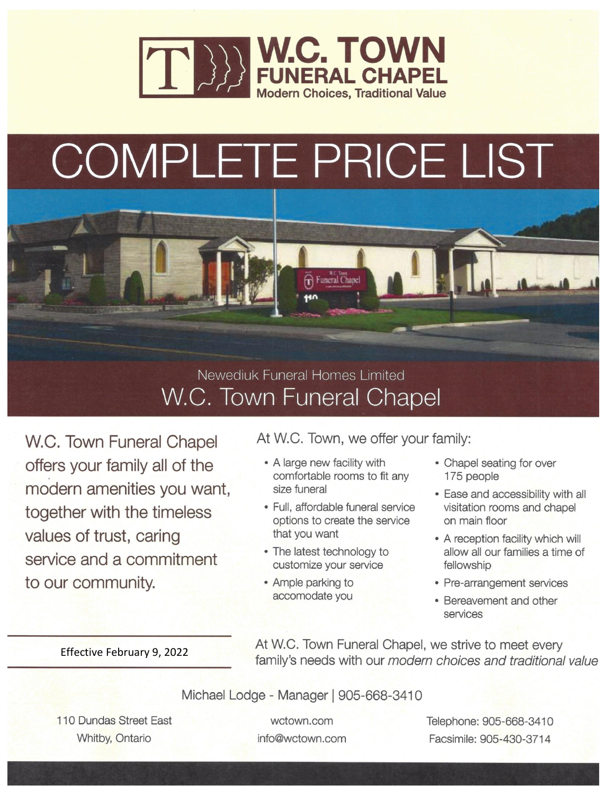

# COMPLETE PRICE LIST



W.C. Town Funeral Chapel

W.C. Town Funeral Chapel offers your family all of the modern amenities you want, together with the timeless values of trust, caring service and a commitment to our community.

At W.C. Town, we offer your family:

- A large new facility with comfortable rooms to fit any size funeral
- · Full, affordable funeral service options to create the service that you want
- The latest technology to customize your service
- Ample parking to accomodate you
- Chapel seating for over 175 people
- Ease and accessibility with all visitation rooms and chapel on main floor
- A reception facility which will allow all our families a time of fellowship
- Pre-arrangement services
- Bereavement and other services

Effective February 9, 2022

At W.C. Town Funeral Chapel, we strive to meet every family's needs with our modern choices and traditional value

Michael Lodge - Manager | 905-668-3410

110 Dundas Street East Whitby, Ontario

wctown.com info@wctown.com Telephone: 905-668-3410 Facsimile: 905-430-3714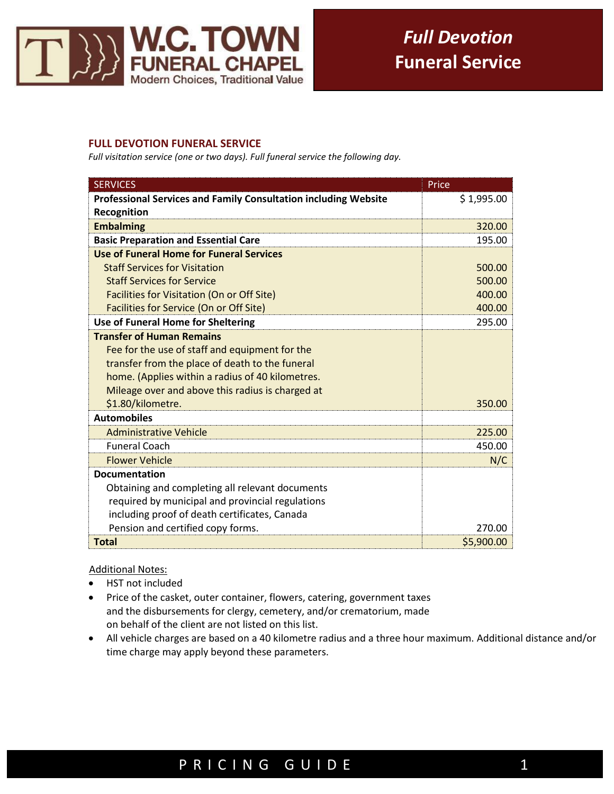

#### **FULL DEVOTION FUNERAL SERVICE**

*Full visitation service (one or two days). Full funeral service the following day.*

| <b>SERVICES</b>                                                 | Price      |
|-----------------------------------------------------------------|------------|
| Professional Services and Family Consultation including Website | \$1,995.00 |
| Recognition                                                     |            |
| <b>Embalming</b>                                                | 320.00     |
| <b>Basic Preparation and Essential Care</b>                     | 195.00     |
| Use of Funeral Home for Funeral Services                        |            |
| <b>Staff Services for Visitation</b>                            | 500.00     |
| <b>Staff Services for Service</b>                               | 500.00     |
| Facilities for Visitation (On or Off Site)                      | 400.00     |
| Facilities for Service (On or Off Site)                         | 400.00     |
| Use of Funeral Home for Sheltering                              | 295.00     |
| <b>Transfer of Human Remains</b>                                |            |
| Fee for the use of staff and equipment for the                  |            |
| transfer from the place of death to the funeral                 |            |
| home. (Applies within a radius of 40 kilometres.                |            |
| Mileage over and above this radius is charged at                |            |
| \$1.80/kilometre.                                               | 350.00     |
| <b>Automobiles</b>                                              |            |
| <b>Administrative Vehicle</b>                                   | 225.00     |
| <b>Funeral Coach</b>                                            | 450.00     |
| <b>Flower Vehicle</b>                                           | N/C        |
| <b>Documentation</b>                                            |            |
| Obtaining and completing all relevant documents                 |            |
| required by municipal and provincial regulations                |            |
| including proof of death certificates, Canada                   |            |
| Pension and certified copy forms.                               | 270.00     |
| <b>Total</b>                                                    | \$5,900.00 |

**Additional Notes:** 

Ξ

- HST not included
- Price of the casket, outer container, flowers, catering, government taxes and the disbursements for clergy, cemetery, and/or crematorium, made on behalf of the client are not listed on this list.
- All vehicle charges are based on a 40 kilometre radius and a three hour maximum. Additional distance and/or time charge may apply beyond these parameters.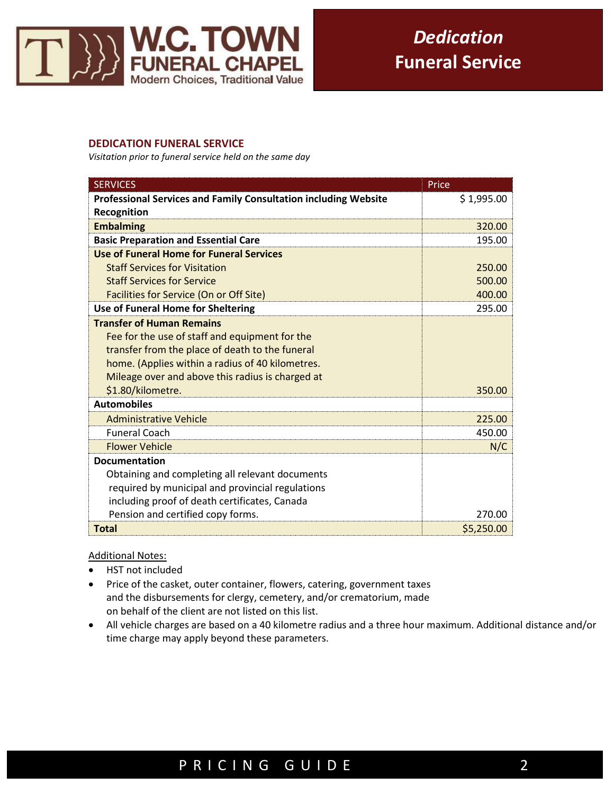

#### **DEDICATION FUNERAL SERVICE**

*Visitation prior to funeral service held on the same day*

| <b>SERVICES</b>                                                        | Price      |
|------------------------------------------------------------------------|------------|
| <b>Professional Services and Family Consultation including Website</b> | \$1,995.00 |
| Recognition                                                            |            |
| <b>Embalming</b>                                                       | 320.00     |
| <b>Basic Preparation and Essential Care</b>                            | 195.00     |
| Use of Funeral Home for Funeral Services                               |            |
| <b>Staff Services for Visitation</b>                                   | 250.00     |
| <b>Staff Services for Service</b>                                      | 500.00     |
| Facilities for Service (On or Off Site)                                | 400.00     |
| Use of Funeral Home for Sheltering                                     | 295.00     |
| <b>Transfer of Human Remains</b>                                       |            |
| Fee for the use of staff and equipment for the                         |            |
| transfer from the place of death to the funeral                        |            |
| home. (Applies within a radius of 40 kilometres.                       |            |
| Mileage over and above this radius is charged at                       |            |
| \$1.80/kilometre.                                                      | 350.00     |
| <b>Automobiles</b>                                                     |            |
| <b>Administrative Vehicle</b>                                          | 225.00     |
| <b>Funeral Coach</b>                                                   | 450.00     |
| <b>Flower Vehicle</b>                                                  | N/C        |
| <b>Documentation</b>                                                   |            |
| Obtaining and completing all relevant documents                        |            |
| required by municipal and provincial regulations                       |            |
| including proof of death certificates, Canada                          |            |
| Pension and certified copy forms.                                      | 270.00     |
| <b>Total</b>                                                           | \$5,250.00 |

#### Additional Notes:

Ξ

- HST not included
- Price of the casket, outer container, flowers, catering, government taxes and the disbursements for clergy, cemetery, and/or crematorium, made on behalf of the client are not listed on this list.
- All vehicle charges are based on a 40 kilometre radius and a three hour maximum. Additional distance and/or time charge may apply beyond these parameters.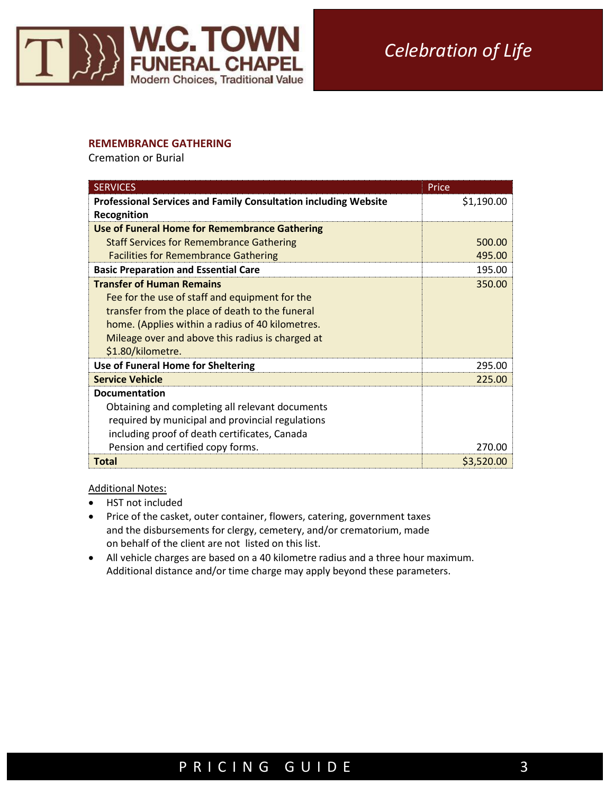

#### **REMEMBRANCE GATHERING**

Cremation or Burial

| <b>SERVICES</b>                                                        | Price      |
|------------------------------------------------------------------------|------------|
| <b>Professional Services and Family Consultation including Website</b> | \$1,190.00 |
| Recognition                                                            |            |
| <b>Use of Funeral Home for Remembrance Gathering</b>                   |            |
| <b>Staff Services for Remembrance Gathering</b>                        | 500.00     |
| <b>Facilities for Remembrance Gathering</b>                            | 495.00     |
| <b>Basic Preparation and Essential Care</b>                            | 195.00     |
| <b>Transfer of Human Remains</b>                                       | 350.00     |
| Fee for the use of staff and equipment for the                         |            |
| transfer from the place of death to the funeral                        |            |
| home. (Applies within a radius of 40 kilometres.                       |            |
| Mileage over and above this radius is charged at                       |            |
| \$1.80/kilometre.                                                      |            |
| Use of Funeral Home for Sheltering                                     | 295.00     |
| <b>Service Vehicle</b>                                                 | 225.00     |
| <b>Documentation</b>                                                   |            |
| Obtaining and completing all relevant documents                        |            |
| required by municipal and provincial regulations                       |            |
| including proof of death certificates, Canada                          |            |
| Pension and certified copy forms.                                      | 270.00     |
| Total                                                                  | \$3,520.00 |

Additional Notes:

I

- HST not included
- Price of the casket, outer container, flowers, catering, government taxes and the disbursements for clergy, cemetery, and/or crematorium, made on behalf of the client are not listed on this list.
- All vehicle charges are based on a 40 kilometre radius and a three hour maximum. Additional distance and/or time charge may apply beyond these parameters.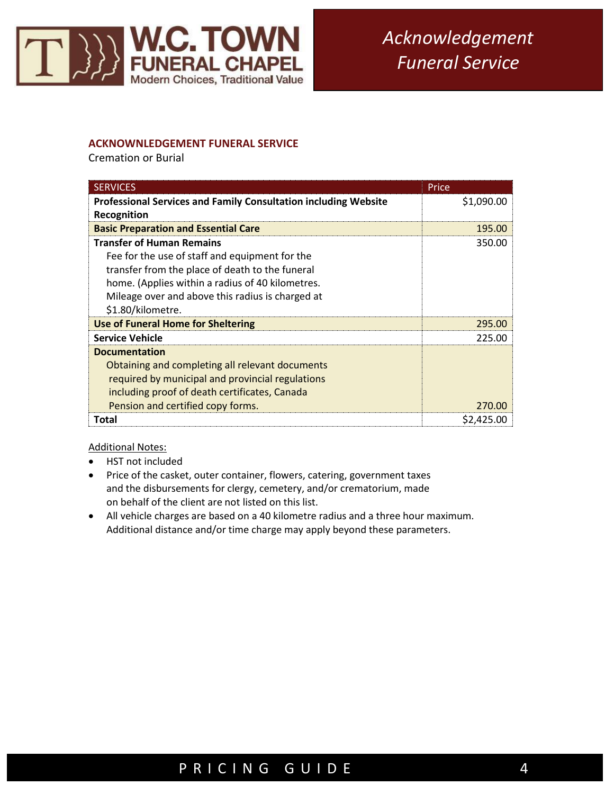

#### **ACKNOWNLEDGEMENT FUNERAL SERVICE**

Cremation or Burial

| <b>SERVICES</b>                                                        | Price      |
|------------------------------------------------------------------------|------------|
| <b>Professional Services and Family Consultation including Website</b> | \$1,090.00 |
| Recognition                                                            |            |
| <b>Basic Preparation and Essential Care</b>                            | 195.00     |
| <b>Transfer of Human Remains</b>                                       | 350.00     |
| Fee for the use of staff and equipment for the                         |            |
| transfer from the place of death to the funeral                        |            |
| home. (Applies within a radius of 40 kilometres.                       |            |
| Mileage over and above this radius is charged at                       |            |
| \$1.80/kilometre.                                                      |            |
| <b>Use of Funeral Home for Sheltering</b>                              | 295.00     |
| <b>Service Vehicle</b>                                                 | 225.00     |
| <b>Documentation</b>                                                   |            |
| Obtaining and completing all relevant documents                        |            |
| required by municipal and provincial regulations                       |            |
| including proof of death certificates, Canada                          |            |
| Pension and certified copy forms.                                      | 270.00     |
| Total                                                                  | \$2,425.00 |

Additional Notes:

Ξ

- HST not included
- Price of the casket, outer container, flowers, catering, government taxes and the disbursements for clergy, cemetery, and/or crematorium, made on behalf of the client are not listed on this list.
- All vehicle charges are based on a 40 kilometre radius and a three hour maximum. Additional distance and/or time charge may apply beyond these parameters.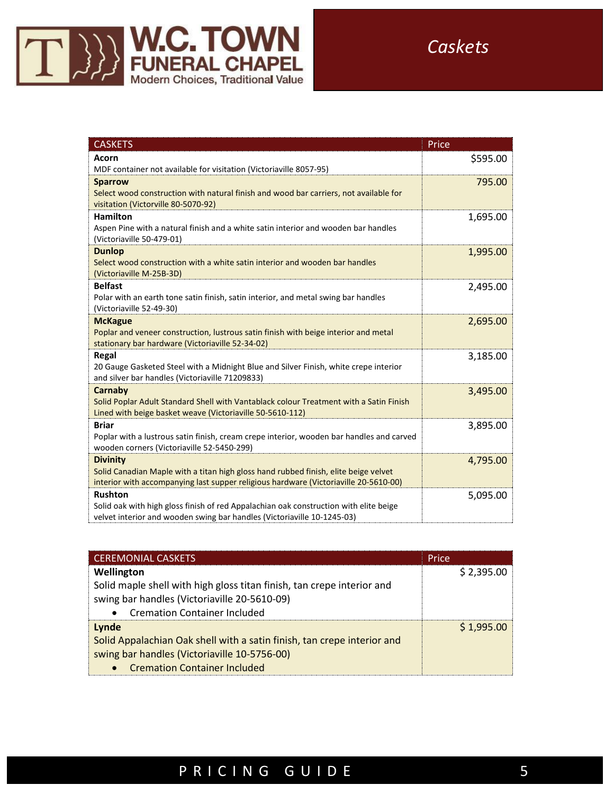

| <b>CASKETS</b>                                                                                                                          | Price    |
|-----------------------------------------------------------------------------------------------------------------------------------------|----------|
| Acorn                                                                                                                                   | \$595.00 |
| MDF container not available for visitation (Victoriaville 8057-95)                                                                      |          |
| <b>Sparrow</b>                                                                                                                          | 795.00   |
| Select wood construction with natural finish and wood bar carriers, not available for                                                   |          |
| visitation (Victorville 80-5070-92)                                                                                                     |          |
| <b>Hamilton</b>                                                                                                                         | 1,695.00 |
| Aspen Pine with a natural finish and a white satin interior and wooden bar handles                                                      |          |
| (Victoriaville 50-479-01)                                                                                                               |          |
| <b>Dunlop</b>                                                                                                                           | 1,995.00 |
| Select wood construction with a white satin interior and wooden bar handles                                                             |          |
| (Victoriaville M-25B-3D)                                                                                                                |          |
| <b>Belfast</b>                                                                                                                          | 2,495.00 |
| Polar with an earth tone satin finish, satin interior, and metal swing bar handles                                                      |          |
| (Victoriaville 52-49-30)                                                                                                                |          |
| <b>McKague</b>                                                                                                                          | 2,695.00 |
| Poplar and veneer construction, lustrous satin finish with beige interior and metal<br>stationary bar hardware (Victoriaville 52-34-02) |          |
| Regal                                                                                                                                   |          |
| 20 Gauge Gasketed Steel with a Midnight Blue and Silver Finish, white crepe interior                                                    | 3,185.00 |
| and silver bar handles (Victoriaville 71209833)                                                                                         |          |
| Carnaby                                                                                                                                 | 3,495.00 |
| Solid Poplar Adult Standard Shell with Vantablack colour Treatment with a Satin Finish                                                  |          |
| Lined with beige basket weave (Victoriaville 50-5610-112)                                                                               |          |
| <b>Briar</b>                                                                                                                            | 3,895.00 |
| Poplar with a lustrous satin finish, cream crepe interior, wooden bar handles and carved                                                |          |
| wooden corners (Victoriaville 52-5450-299)                                                                                              |          |
| <b>Divinity</b>                                                                                                                         | 4,795.00 |
| Solid Canadian Maple with a titan high gloss hand rubbed finish, elite beige velvet                                                     |          |
| interior with accompanying last supper religious hardware (Victoriaville 20-5610-00)                                                    |          |
| <b>Rushton</b>                                                                                                                          | 5,095.00 |
| Solid oak with high gloss finish of red Appalachian oak construction with elite beige                                                   |          |
| velvet interior and wooden swing bar handles (Victoriaville 10-1245-03)                                                                 |          |

| <b>CEREMONIAL CASKETS</b>                                               | Price      |
|-------------------------------------------------------------------------|------------|
| Wellington                                                              | \$2,395.00 |
| Solid maple shell with high gloss titan finish, tan crepe interior and  |            |
| swing bar handles (Victoriaville 20-5610-09)                            |            |
| <b>Cremation Container Included</b><br>$\bullet$                        |            |
| Lynde                                                                   | \$1.995.00 |
| Solid Appalachian Oak shell with a satin finish, tan crepe interior and |            |
| swing bar handles (Victoriaville 10-5756-00)                            |            |
| • Cremation Container Included                                          |            |

# P R I C I N G G U I D E 5

Ξ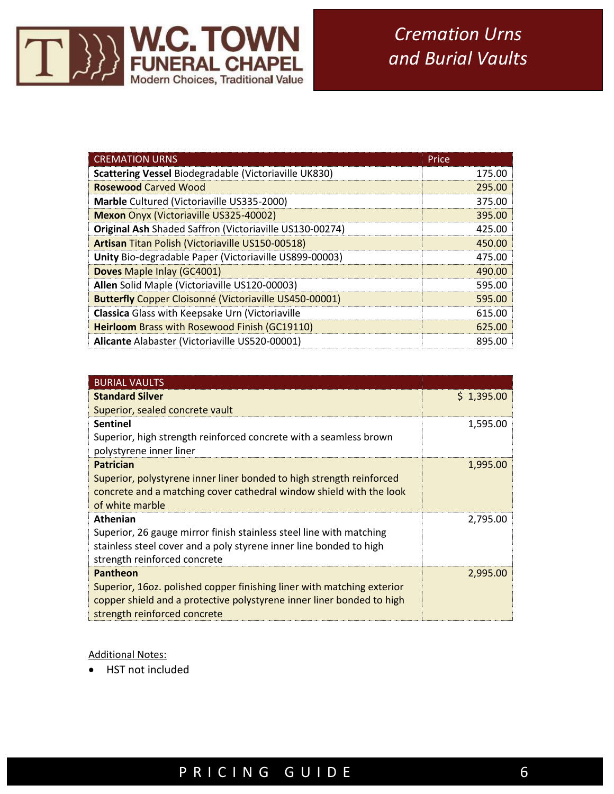

| <b>CREMATION URNS</b>                                   | Price  |
|---------------------------------------------------------|--------|
| Scattering Vessel Biodegradable (Victoriaville UK830)   | 175.00 |
| <b>Rosewood Carved Wood</b>                             | 295.00 |
| Marble Cultured (Victoriaville US335-2000)              | 375.00 |
| <b>Mexon Onyx (Victoriaville US325-40002)</b>           | 395.00 |
| Original Ash Shaded Saffron (Victoriaville US130-00274) | 425.00 |
| Artisan Titan Polish (Victoriaville US150-00518)        | 450.00 |
| Unity Bio-degradable Paper (Victoriaville US899-00003)  | 475.00 |
| <b>Doves Maple Inlay (GC4001)</b>                       | 490.00 |
| Allen Solid Maple (Victoriaville US120-00003)           | 595.00 |
| Butterfly Copper Cloisonné (Victoriaville US450-00001)  | 595.00 |
| Classica Glass with Keepsake Urn (Victoriaville         | 615.00 |
| <b>Heirloom</b> Brass with Rosewood Finish (GC19110)    | 625.00 |
| Alicante Alabaster (Victoriaville US520-00001)          | 895.00 |

| <b>BURIAL VAULTS</b>                                                   |            |
|------------------------------------------------------------------------|------------|
| <b>Standard Silver</b>                                                 | \$1,395.00 |
| Superior, sealed concrete vault                                        |            |
| <b>Sentinel</b>                                                        | 1,595.00   |
| Superior, high strength reinforced concrete with a seamless brown      |            |
| polystyrene inner liner                                                |            |
| <b>Patrician</b>                                                       | 1,995.00   |
| Superior, polystyrene inner liner bonded to high strength reinforced   |            |
| concrete and a matching cover cathedral window shield with the look    |            |
| of white marble                                                        |            |
| <b>Athenian</b>                                                        | 2,795.00   |
| Superior, 26 gauge mirror finish stainless steel line with matching    |            |
| stainless steel cover and a poly styrene inner line bonded to high     |            |
| strength reinforced concrete                                           |            |
| Pantheon                                                               | 2,995.00   |
| Superior, 16oz. polished copper finishing liner with matching exterior |            |
| copper shield and a protective polystyrene inner liner bonded to high  |            |
| strength reinforced concrete                                           |            |

Additional Notes:

Ξ

• HST not included